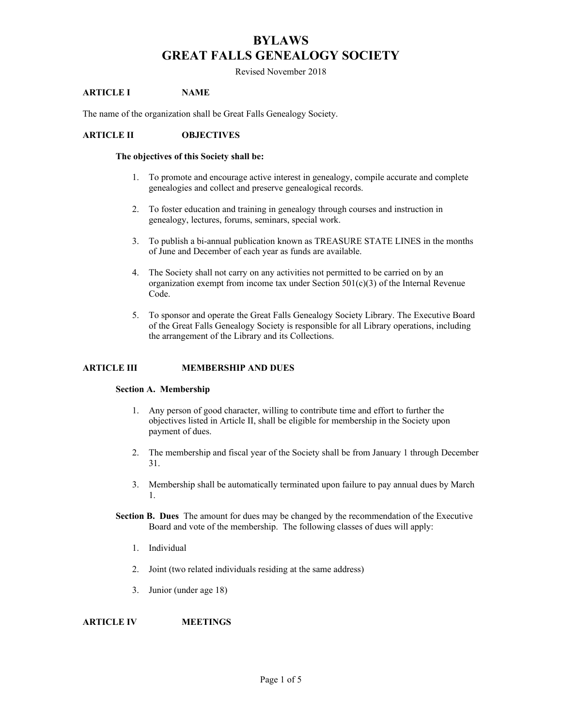# **BYLAWS GREAT FALLS GENEALOGY SOCIETY**

Revised November 2018

# **ARTICLE I NAME**

The name of the organization shall be Great Falls Genealogy Society.

#### **ARTICLE II OBJECTIVES**

#### **The objectives of this Society shall be:**

- 1. To promote and encourage active interest in genealogy, compile accurate and complete genealogies and collect and preserve genealogical records.
- 2. To foster education and training in genealogy through courses and instruction in genealogy, lectures, forums, seminars, special work.
- 3. To publish a bi-annual publication known as TREASURE STATE LINES in the months of June and December of each year as funds are available.
- 4. The Society shall not carry on any activities not permitted to be carried on by an organization exempt from income tax under Section  $501(c)(3)$  of the Internal Revenue Code.
- 5. To sponsor and operate the Great Falls Genealogy Society Library. The Executive Board of the Great Falls Genealogy Society is responsible for all Library operations, including the arrangement of the Library and its Collections.

# **ARTICLE III MEMBERSHIP AND DUES**

#### **Section A. Membership**

- 1. Any person of good character, willing to contribute time and effort to further the objectives listed in Article II, shall be eligible for membership in the Society upon payment of dues.
- 2. The membership and fiscal year of the Society shall be from January 1 through December 31.
- 3. Membership shall be automatically terminated upon failure to pay annual dues by March 1.
- **Section B. Dues** The amount for dues may be changed by the recommendation of the Executive Board and vote of the membership. The following classes of dues will apply:
	- 1. Individual
	- 2. Joint (two related individuals residing at the same address)
	- 3. Junior (under age 18)

#### **ARTICLE IV MEETINGS**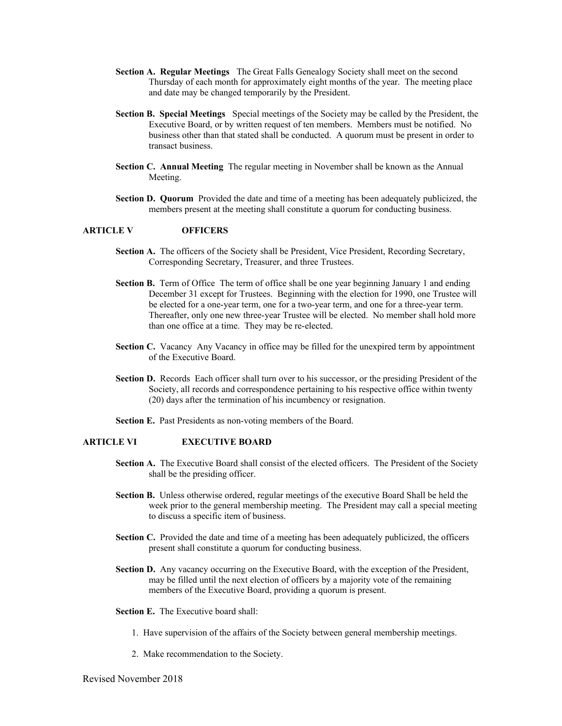- **Section A. Regular Meetings** The Great Falls Genealogy Society shall meet on the second Thursday of each month for approximately eight months of the year. The meeting place and date may be changed temporarily by the President.
- **Section B. Special Meetings** Special meetings of the Society may be called by the President, the Executive Board, or by written request of ten members. Members must be notified. No business other than that stated shall be conducted. A quorum must be present in order to transact business.
- **Section C. Annual Meeting** The regular meeting in November shall be known as the Annual Meeting.
- **Section D. Quorum** Provided the date and time of a meeting has been adequately publicized, the members present at the meeting shall constitute a quorum for conducting business.

#### **ARTICLE V OFFICERS**

- Section A. The officers of the Society shall be President, Vice President, Recording Secretary, Corresponding Secretary, Treasurer, and three Trustees.
- **Section B.** Term of Office The term of office shall be one year beginning January 1 and ending December 31 except for Trustees. Beginning with the election for 1990, one Trustee will be elected for a one-year term, one for a two-year term, and one for a three-year term. Thereafter, only one new three-year Trustee will be elected. No member shall hold more than one office at a time. They may be re-elected.
- Section C. Vacancy Any Vacancy in office may be filled for the unexpired term by appointment of the Executive Board.
- Section D. Records Each officer shall turn over to his successor, or the presiding President of the Society, all records and correspondence pertaining to his respective office within twenty (20) days after the termination of his incumbency or resignation.
- **Section E.** Past Presidents as non-voting members of the Board.

### **ARTICLE VI EXECUTIVE BOARD**

- **Section A.** The Executive Board shall consist of the elected officers. The President of the Society shall be the presiding officer.
- **Section B.** Unless otherwise ordered, regular meetings of the executive Board Shall be held the week prior to the general membership meeting. The President may call a special meeting to discuss a specific item of business.
- **Section C.** Provided the date and time of a meeting has been adequately publicized, the officers present shall constitute a quorum for conducting business.
- Section D. Any vacancy occurring on the Executive Board, with the exception of the President, may be filled until the next election of officers by a majority vote of the remaining members of the Executive Board, providing a quorum is present.

**Section E.** The Executive board shall:

- 1. Have supervision of the affairs of the Society between general membership meetings.
- 2. Make recommendation to the Society.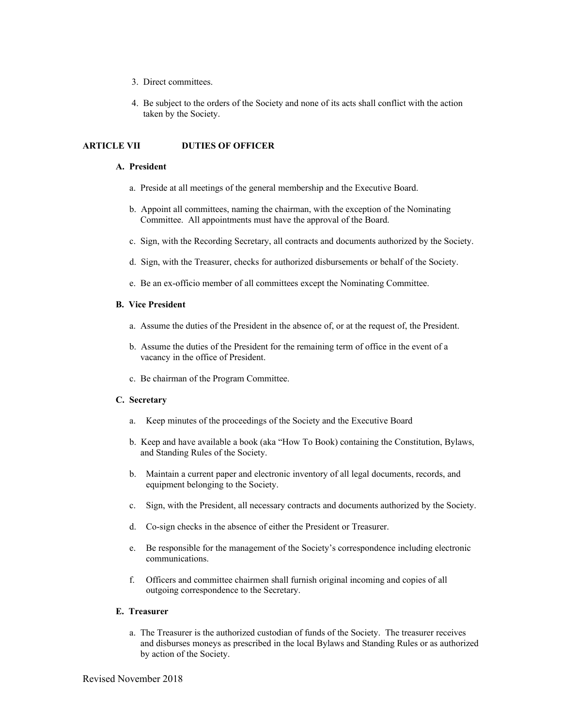- 3. Direct committees.
- 4. Be subject to the orders of the Society and none of its acts shall conflict with the action taken by the Society.

### **ARTICLE VII DUTIES OF OFFICER**

# **A. President**

- a. Preside at all meetings of the general membership and the Executive Board.
- b. Appoint all committees, naming the chairman, with the exception of the Nominating Committee. All appointments must have the approval of the Board.
- c. Sign, with the Recording Secretary, all contracts and documents authorized by the Society.
- d. Sign, with the Treasurer, checks for authorized disbursements or behalf of the Society.
- e. Be an ex-officio member of all committees except the Nominating Committee.

#### **B. Vice President**

- a. Assume the duties of the President in the absence of, or at the request of, the President.
- b. Assume the duties of the President for the remaining term of office in the event of a vacancy in the office of President.
- c. Be chairman of the Program Committee.

#### **C. Secretary**

- a. Keep minutes of the proceedings of the Society and the Executive Board
- b. Keep and have available a book (aka "How To Book) containing the Constitution, Bylaws, and Standing Rules of the Society.
- b. Maintain a current paper and electronic inventory of all legal documents, records, and equipment belonging to the Society.
- c. Sign, with the President, all necessary contracts and documents authorized by the Society.
- d. Co-sign checks in the absence of either the President or Treasurer.
- e. Be responsible for the management of the Society's correspondence including electronic communications.
- f. Officers and committee chairmen shall furnish original incoming and copies of all outgoing correspondence to the Secretary.

#### **E. Treasurer**

 a. The Treasurer is the authorized custodian of funds of the Society. The treasurer receives and disburses moneys as prescribed in the local Bylaws and Standing Rules or as authorized by action of the Society.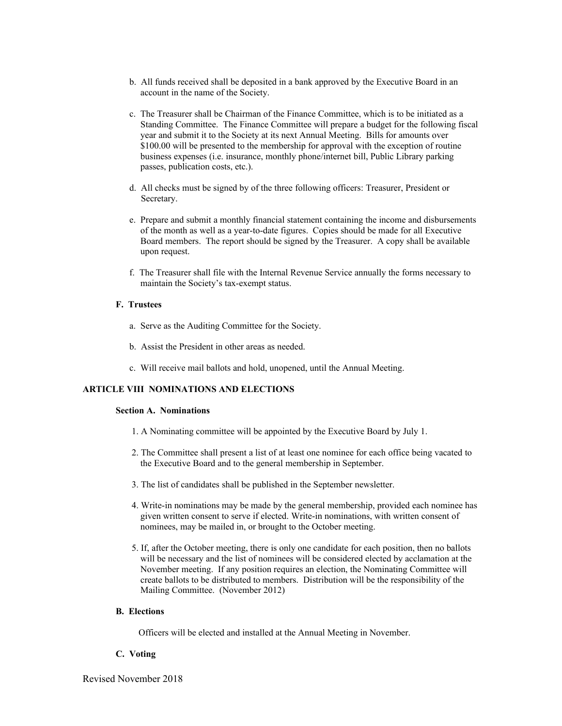- b. All funds received shall be deposited in a bank approved by the Executive Board in an account in the name of the Society.
- c. The Treasurer shall be Chairman of the Finance Committee, which is to be initiated as a Standing Committee. The Finance Committee will prepare a budget for the following fiscal year and submit it to the Society at its next Annual Meeting. Bills for amounts over \$100.00 will be presented to the membership for approval with the exception of routine business expenses (i.e. insurance, monthly phone/internet bill, Public Library parking passes, publication costs, etc.).
- d. All checks must be signed by of the three following officers: Treasurer, President or Secretary.
- e. Prepare and submit a monthly financial statement containing the income and disbursements of the month as well as a year-to-date figures. Copies should be made for all Executive Board members. The report should be signed by the Treasurer. A copy shall be available upon request.
- f. The Treasurer shall file with the Internal Revenue Service annually the forms necessary to maintain the Society's tax-exempt status.

# **F. Trustees**

- a. Serve as the Auditing Committee for the Society.
- b. Assist the President in other areas as needed.
- c. Will receive mail ballots and hold, unopened, until the Annual Meeting.

## **ARTICLE VIII NOMINATIONS AND ELECTIONS**

## **Section A. Nominations**

- 1. A Nominating committee will be appointed by the Executive Board by July 1.
- 2. The Committee shall present a list of at least one nominee for each office being vacated to the Executive Board and to the general membership in September.
- 3. The list of candidates shall be published in the September newsletter.
- 4. Write-in nominations may be made by the general membership, provided each nominee has given written consent to serve if elected. Write-in nominations, with written consent of nominees, may be mailed in, or brought to the October meeting.
- 5. If, after the October meeting, there is only one candidate for each position, then no ballots will be necessary and the list of nominees will be considered elected by acclamation at the November meeting. If any position requires an election, the Nominating Committee will create ballots to be distributed to members. Distribution will be the responsibility of the Mailing Committee. (November 2012)

#### **B. Elections**

Officers will be elected and installed at the Annual Meeting in November.

#### **C. Voting**